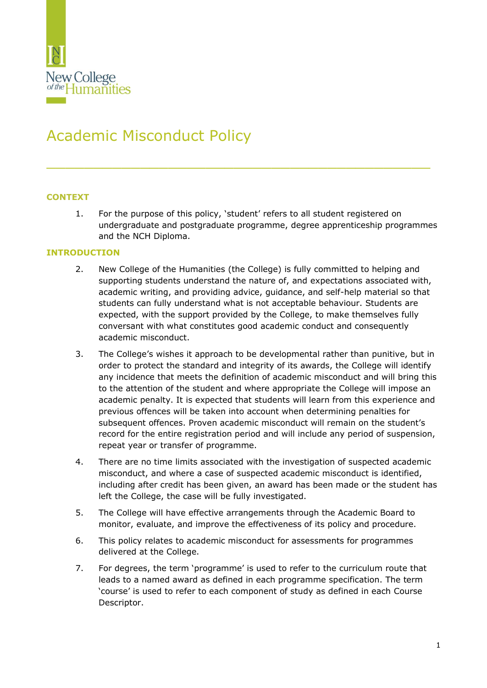

# Academic Misconduct Policy

# **CONTEXT**

1. For the purpose of this policy, 'student' refers to all student registered on undergraduate and postgraduate programme, degree apprenticeship programmes and the NCH Diploma.

 $\frac{1}{2}$  ,  $\frac{1}{2}$  ,  $\frac{1}{2}$  ,  $\frac{1}{2}$  ,  $\frac{1}{2}$  ,  $\frac{1}{2}$  ,  $\frac{1}{2}$  ,  $\frac{1}{2}$  ,  $\frac{1}{2}$  ,  $\frac{1}{2}$  ,  $\frac{1}{2}$  ,  $\frac{1}{2}$  ,  $\frac{1}{2}$  ,  $\frac{1}{2}$  ,  $\frac{1}{2}$  ,  $\frac{1}{2}$  ,  $\frac{1}{2}$  ,  $\frac{1}{2}$  ,  $\frac{1$ 

### **INTRODUCTION**

- 2. New College of the Humanities (the College) is fully committed to helping and supporting students understand the nature of, and expectations associated with, academic writing, and providing advice, guidance, and self-help material so that students can fully understand what is not acceptable behaviour. Students are expected, with the support provided by the College, to make themselves fully conversant with what constitutes good academic conduct and consequently academic misconduct.
- 3. The College's wishes it approach to be developmental rather than punitive, but in order to protect the standard and integrity of its awards, the College will identify any incidence that meets the definition of academic misconduct and will bring this to the attention of the student and where appropriate the College will impose an academic penalty. It is expected that students will learn from this experience and previous offences will be taken into account when determining penalties for subsequent offences. Proven academic misconduct will remain on the student's record for the entire registration period and will include any period of suspension, repeat year or transfer of programme.
- 4. There are no time limits associated with the investigation of suspected academic misconduct, and where a case of suspected academic misconduct is identified, including after credit has been given, an award has been made or the student has left the College, the case will be fully investigated.
- 5. The College will have effective arrangements through the Academic Board to monitor, evaluate, and improve the effectiveness of its policy and procedure.
- 6. This policy relates to academic misconduct for assessments for programmes delivered at the College.
- 7. For degrees, the term 'programme' is used to refer to the curriculum route that leads to a named award as defined in each programme specification. The term 'course' is used to refer to each component of study as defined in each Course Descriptor.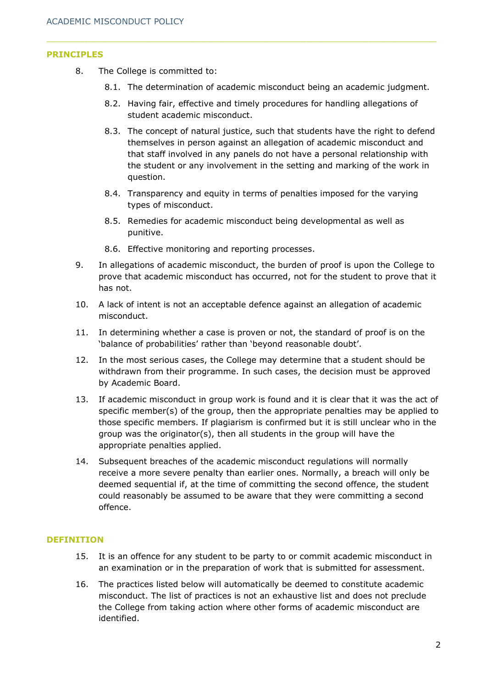#### **PRINCIPLES**

- 8. The College is committed to:
	- 8.1. The determination of academic misconduct being an academic judgment.
	- 8.2. Having fair, effective and timely procedures for handling allegations of student academic misconduct.
	- 8.3. The concept of natural justice, such that students have the right to defend themselves in person against an allegation of academic misconduct and that staff involved in any panels do not have a personal relationship with the student or any involvement in the setting and marking of the work in question.
	- 8.4. Transparency and equity in terms of penalties imposed for the varying types of misconduct.
	- 8.5. Remedies for academic misconduct being developmental as well as punitive.
	- 8.6. Effective monitoring and reporting processes.
- 9. In allegations of academic misconduct, the burden of proof is upon the College to prove that academic misconduct has occurred, not for the student to prove that it has not.
- 10. A lack of intent is not an acceptable defence against an allegation of academic misconduct.
- 11. In determining whether a case is proven or not, the standard of proof is on the 'balance of probabilities' rather than 'beyond reasonable doubt'.
- 12. In the most serious cases, the College may determine that a student should be withdrawn from their programme. In such cases, the decision must be approved by Academic Board.
- 13. If academic misconduct in group work is found and it is clear that it was the act of specific member(s) of the group, then the appropriate penalties may be applied to those specific members. If plagiarism is confirmed but it is still unclear who in the group was the originator(s), then all students in the group will have the appropriate penalties applied.
- 14. Subsequent breaches of the academic misconduct regulations will normally receive a more severe penalty than earlier ones. Normally, a breach will only be deemed sequential if, at the time of committing the second offence, the student could reasonably be assumed to be aware that they were committing a second offence.

#### **DEFINITION**

- 15. It is an offence for any student to be party to or commit academic misconduct in an examination or in the preparation of work that is submitted for assessment.
- 16. The practices listed below will automatically be deemed to constitute academic misconduct. The list of practices is not an exhaustive list and does not preclude the College from taking action where other forms of academic misconduct are identified.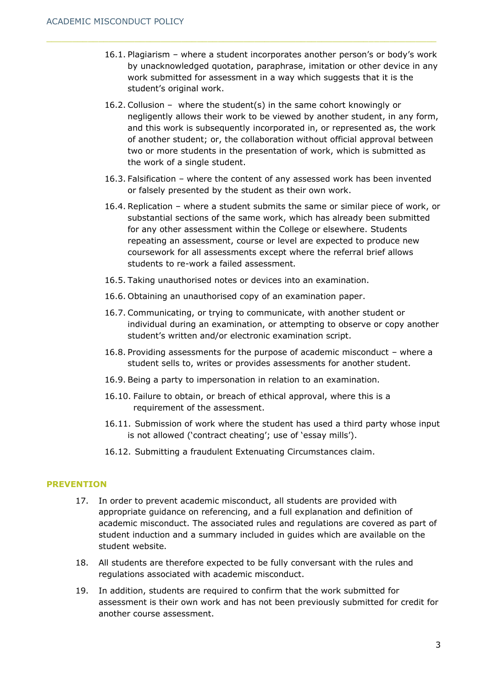- 16.1. Plagiarism where a student incorporates another person's or body's work by unacknowledged quotation, paraphrase, imitation or other device in any work submitted for assessment in a way which suggests that it is the student's original work.
- 16.2. Collusion where the student(s) in the same cohort knowingly or negligently allows their work to be viewed by another student, in any form, and this work is subsequently incorporated in, or represented as, the work of another student; or, the collaboration without official approval between two or more students in the presentation of work, which is submitted as the work of a single student.
- 16.3. Falsification where the content of any assessed work has been invented or falsely presented by the student as their own work.
- 16.4. Replication where a student submits the same or similar piece of work, or substantial sections of the same work, which has already been submitted for any other assessment within the College or elsewhere. Students repeating an assessment, course or level are expected to produce new coursework for all assessments except where the referral brief allows students to re-work a failed assessment.
- 16.5. Taking unauthorised notes or devices into an examination.
- 16.6. Obtaining an unauthorised copy of an examination paper.
- 16.7. Communicating, or trying to communicate, with another student or individual during an examination, or attempting to observe or copy another student's written and/or electronic examination script.
- 16.8. Providing assessments for the purpose of academic misconduct where a student sells to, writes or provides assessments for another student.
- 16.9. Being a party to impersonation in relation to an examination.
- 16.10. Failure to obtain, or breach of ethical approval, where this is a requirement of the assessment.
- 16.11. Submission of work where the student has used a third party whose input is not allowed ('contract cheating'; use of 'essay mills').
- 16.12. Submitting a fraudulent Extenuating Circumstances claim.

#### **PREVENTION**

- 17. In order to prevent academic misconduct, all students are provided with appropriate guidance on referencing, and a full explanation and definition of academic misconduct. The associated rules and regulations are covered as part of student induction and a summary included in guides which are available on the student website.
- 18. All students are therefore expected to be fully conversant with the rules and regulations associated with academic misconduct.
- 19. In addition, students are required to confirm that the work submitted for assessment is their own work and has not been previously submitted for credit for another course assessment.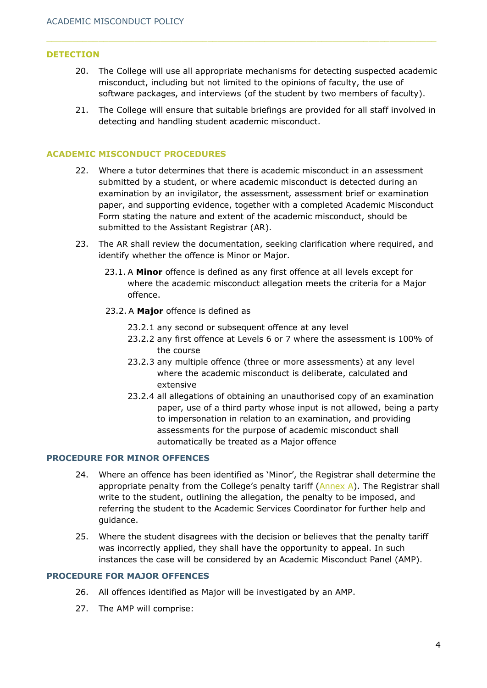#### **DETECTION**

- 20. The College will use all appropriate mechanisms for detecting suspected academic misconduct, including but not limited to the opinions of faculty, the use of software packages, and interviews (of the student by two members of faculty).
- 21. The College will ensure that suitable briefings are provided for all staff involved in detecting and handling student academic misconduct.

#### **ACADEMIC MISCONDUCT PROCEDURES**

- 22. Where a tutor determines that there is academic misconduct in an assessment submitted by a student, or where academic misconduct is detected during an examination by an invigilator, the assessment, assessment brief or examination paper, and supporting evidence, together with a completed Academic Misconduct Form stating the nature and extent of the academic misconduct, should be submitted to the Assistant Registrar (AR).
- 23. The AR shall review the documentation, seeking clarification where required, and identify whether the offence is Minor or Major.
	- 23.1. A **Minor** offence is defined as any first offence at all levels except for where the academic misconduct allegation meets the criteria for a Major offence.
	- 23.2. A **Major** offence is defined as
		- 23.2.1 any second or subsequent offence at any level
		- 23.2.2 any first offence at Levels 6 or 7 where the assessment is 100% of the course
		- 23.2.3 any multiple offence (three or more assessments) at any level where the academic misconduct is deliberate, calculated and extensive
		- 23.2.4 all allegations of obtaining an unauthorised copy of an examination paper, use of a third party whose input is not allowed, being a party to impersonation in relation to an examination, and providing assessments for the purpose of academic misconduct shall automatically be treated as a Major offence

#### **PROCEDURE FOR MINOR OFFENCES**

- 24. Where an offence has been identified as 'Minor', the Registrar shall determine the appropriate penalty from the College's penalty tariff  $(Annex A)$  $(Annex A)$ . The Registrar shall write to the student, outlining the allegation, the penalty to be imposed, and referring the student to the Academic Services Coordinator for further help and guidance.
- 25. Where the student disagrees with the decision or believes that the penalty tariff was incorrectly applied, they shall have the opportunity to appeal. In such instances the case will be considered by an Academic Misconduct Panel (AMP).

#### **PROCEDURE FOR MAJOR OFFENCES**

- 26. All offences identified as Major will be investigated by an AMP.
- 27. The AMP will comprise: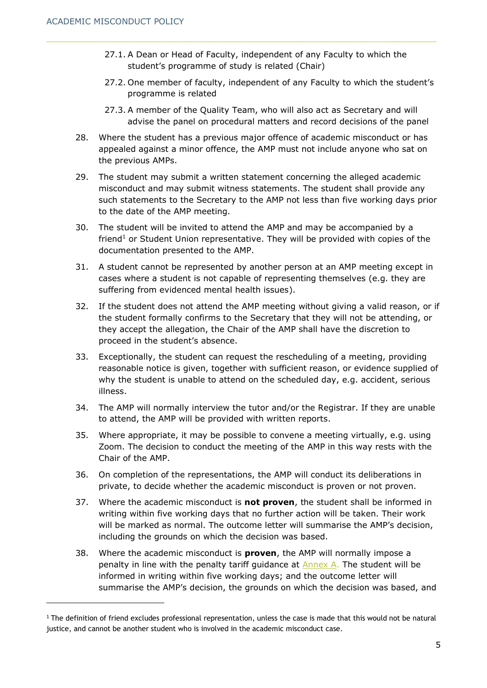- 27.1. A Dean or Head of Faculty, independent of any Faculty to which the student's programme of study is related (Chair)
- 27.2. One member of faculty, independent of any Faculty to which the student's programme is related
- 27.3. A member of the Quality Team, who will also act as Secretary and will advise the panel on procedural matters and record decisions of the panel
- 28. Where the student has a previous major offence of academic misconduct or has appealed against a minor offence, the AMP must not include anyone who sat on the previous AMPs.
- 29. The student may submit a written statement concerning the alleged academic misconduct and may submit witness statements. The student shall provide any such statements to the Secretary to the AMP not less than five working days prior to the date of the AMP meeting.
- 30. The student will be invited to attend the AMP and may be accompanied by a friend<sup>1</sup> or Student Union representative. They will be provided with copies of the documentation presented to the AMP.
- 31. A student cannot be represented by another person at an AMP meeting except in cases where a student is not capable of representing themselves (e.g. they are suffering from evidenced mental health issues).
- 32. If the student does not attend the AMP meeting without giving a valid reason, or if the student formally confirms to the Secretary that they will not be attending, or they accept the allegation, the Chair of the AMP shall have the discretion to proceed in the student's absence.
- 33. Exceptionally, the student can request the rescheduling of a meeting, providing reasonable notice is given, together with sufficient reason, or evidence supplied of why the student is unable to attend on the scheduled day, e.g. accident, serious illness.
- 34. The AMP will normally interview the tutor and/or the Registrar. If they are unable to attend, the AMP will be provided with written reports.
- 35. Where appropriate, it may be possible to convene a meeting virtually, e.g. using Zoom. The decision to conduct the meeting of the AMP in this way rests with the Chair of the AMP.
- 36. On completion of the representations, the AMP will conduct its deliberations in private, to decide whether the academic misconduct is proven or not proven.
- 37. Where the academic misconduct is **not proven**, the student shall be informed in writing within five working days that no further action will be taken. Their work will be marked as normal. The outcome letter will summarise the AMP's decision, including the grounds on which the decision was based.
- 38. Where the academic misconduct is **proven**, the AMP will normally impose a penalty in line with the penalty tariff guidance at  $\frac{\text{Annex}}{\text{Annex}}$  A. The student will be informed in writing within five working days; and the outcome letter will summarise the AMP's decision, the grounds on which the decision was based, and

 $1$  The definition of friend excludes professional representation, unless the case is made that this would not be natural justice, and cannot be another student who is involved in the academic misconduct case.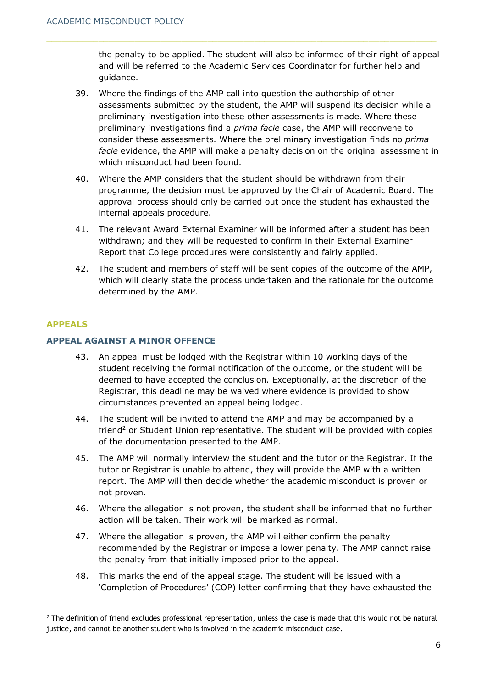the penalty to be applied. The student will also be informed of their right of appeal and will be referred to the Academic Services Coordinator for further help and guidance.

- 39. Where the findings of the AMP call into question the authorship of other assessments submitted by the student, the AMP will suspend its decision while a preliminary investigation into these other assessments is made. Where these preliminary investigations find a *prima facie* case, the AMP will reconvene to consider these assessments. Where the preliminary investigation finds no *prima facie* evidence, the AMP will make a penalty decision on the original assessment in which misconduct had been found.
- 40. Where the AMP considers that the student should be withdrawn from their programme, the decision must be approved by the Chair of Academic Board. The approval process should only be carried out once the student has exhausted the internal appeals procedure.
- 41. The relevant Award External Examiner will be informed after a student has been withdrawn; and they will be requested to confirm in their External Examiner Report that College procedures were consistently and fairly applied.
- 42. The student and members of staff will be sent copies of the outcome of the AMP, which will clearly state the process undertaken and the rationale for the outcome determined by the AMP.

# **APPEALS**

# **APPEAL AGAINST A MINOR OFFENCE**

- 43. An appeal must be lodged with the Registrar within 10 working days of the student receiving the formal notification of the outcome, or the student will be deemed to have accepted the conclusion. Exceptionally, at the discretion of the Registrar, this deadline may be waived where evidence is provided to show circumstances prevented an appeal being lodged.
- 44. The student will be invited to attend the AMP and may be accompanied by a friend<sup>2</sup> or Student Union representative. The student will be provided with copies of the documentation presented to the AMP.
- 45. The AMP will normally interview the student and the tutor or the Registrar. If the tutor or Registrar is unable to attend, they will provide the AMP with a written report. The AMP will then decide whether the academic misconduct is proven or not proven.
- 46. Where the allegation is not proven, the student shall be informed that no further action will be taken. Their work will be marked as normal.
- 47. Where the allegation is proven, the AMP will either confirm the penalty recommended by the Registrar or impose a lower penalty. The AMP cannot raise the penalty from that initially imposed prior to the appeal.
- 48. This marks the end of the appeal stage. The student will be issued with a 'Completion of Procedures' (COP) letter confirming that they have exhausted the

 $2$  The definition of friend excludes professional representation, unless the case is made that this would not be natural justice, and cannot be another student who is involved in the academic misconduct case.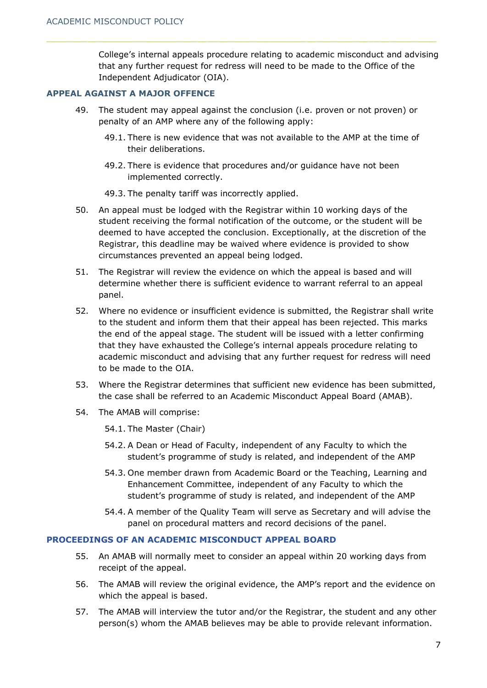College's internal appeals procedure relating to academic misconduct and advising that any further request for redress will need to be made to the Office of the Independent Adjudicator (OIA).

# **APPEAL AGAINST A MAJOR OFFENCE**

- 49. The student may appeal against the conclusion (i.e. proven or not proven) or penalty of an AMP where any of the following apply:
	- 49.1. There is new evidence that was not available to the AMP at the time of their deliberations.
	- 49.2. There is evidence that procedures and/or guidance have not been implemented correctly.
	- 49.3. The penalty tariff was incorrectly applied.
- 50. An appeal must be lodged with the Registrar within 10 working days of the student receiving the formal notification of the outcome, or the student will be deemed to have accepted the conclusion. Exceptionally, at the discretion of the Registrar, this deadline may be waived where evidence is provided to show circumstances prevented an appeal being lodged.
- 51. The Registrar will review the evidence on which the appeal is based and will determine whether there is sufficient evidence to warrant referral to an appeal panel.
- 52. Where no evidence or insufficient evidence is submitted, the Registrar shall write to the student and inform them that their appeal has been rejected. This marks the end of the appeal stage. The student will be issued with a letter confirming that they have exhausted the College's internal appeals procedure relating to academic misconduct and advising that any further request for redress will need to be made to the OIA.
- 53. Where the Registrar determines that sufficient new evidence has been submitted, the case shall be referred to an Academic Misconduct Appeal Board (AMAB).
- 54. The AMAB will comprise:
	- 54.1. The Master (Chair)
	- 54.2. A Dean or Head of Faculty, independent of any Faculty to which the student's programme of study is related, and independent of the AMP
	- 54.3. One member drawn from Academic Board or the Teaching, Learning and Enhancement Committee, independent of any Faculty to which the student's programme of study is related, and independent of the AMP
	- 54.4. A member of the Quality Team will serve as Secretary and will advise the panel on procedural matters and record decisions of the panel.

# **PROCEEDINGS OF AN ACADEMIC MISCONDUCT APPEAL BOARD**

- 55. An AMAB will normally meet to consider an appeal within 20 working days from receipt of the appeal.
- 56. The AMAB will review the original evidence, the AMP's report and the evidence on which the appeal is based.
- 57. The AMAB will interview the tutor and/or the Registrar, the student and any other person(s) whom the AMAB believes may be able to provide relevant information.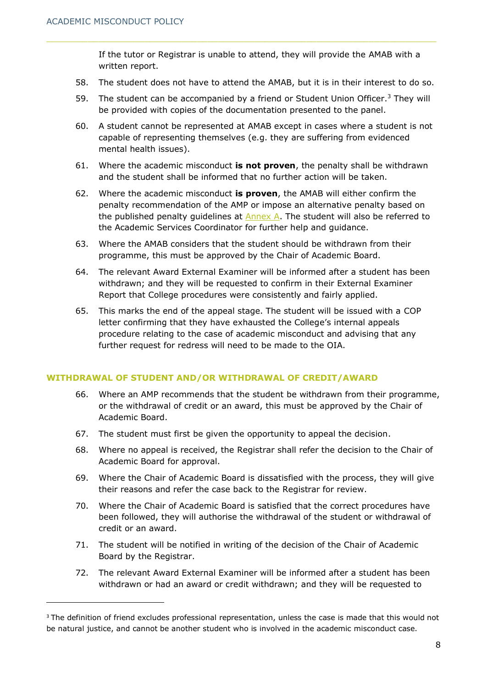If the tutor or Registrar is unable to attend, they will provide the AMAB with a written report.

- 58. The student does not have to attend the AMAB, but it is in their interest to do so.
- 59. The student can be accompanied by a friend or Student Union Officer.<sup>3</sup> They will be provided with copies of the documentation presented to the panel.
- 60. A student cannot be represented at AMAB except in cases where a student is not capable of representing themselves (e.g. they are suffering from evidenced mental health issues).
- 61. Where the academic misconduct **is not proven**, the penalty shall be withdrawn and the student shall be informed that no further action will be taken.
- 62. Where the academic misconduct **is proven**, the AMAB will either confirm the penalty recommendation of the AMP or impose an alternative penalty based on the published penalty guidelines at  $\frac{\text{Annex}}{\text{A}}$ . The student will also be referred to the Academic Services Coordinator for further help and guidance.
- 63. Where the AMAB considers that the student should be withdrawn from their programme, this must be approved by the Chair of Academic Board.
- 64. The relevant Award External Examiner will be informed after a student has been withdrawn; and they will be requested to confirm in their External Examiner Report that College procedures were consistently and fairly applied.
- 65. This marks the end of the appeal stage. The student will be issued with a COP letter confirming that they have exhausted the College's internal appeals procedure relating to the case of academic misconduct and advising that any further request for redress will need to be made to the OIA.

#### **WITHDRAWAL OF STUDENT AND/OR WITHDRAWAL OF CREDIT/AWARD**

- 66. Where an AMP recommends that the student be withdrawn from their programme, or the withdrawal of credit or an award, this must be approved by the Chair of Academic Board.
- 67. The student must first be given the opportunity to appeal the decision.
- 68. Where no appeal is received, the Registrar shall refer the decision to the Chair of Academic Board for approval.
- 69. Where the Chair of Academic Board is dissatisfied with the process, they will give their reasons and refer the case back to the Registrar for review.
- 70. Where the Chair of Academic Board is satisfied that the correct procedures have been followed, they will authorise the withdrawal of the student or withdrawal of credit or an award.
- 71. The student will be notified in writing of the decision of the Chair of Academic Board by the Registrar.
- 72. The relevant Award External Examiner will be informed after a student has been withdrawn or had an award or credit withdrawn; and they will be requested to

<sup>&</sup>lt;sup>3</sup> The definition of friend excludes professional representation, unless the case is made that this would not be natural justice, and cannot be another student who is involved in the academic misconduct case.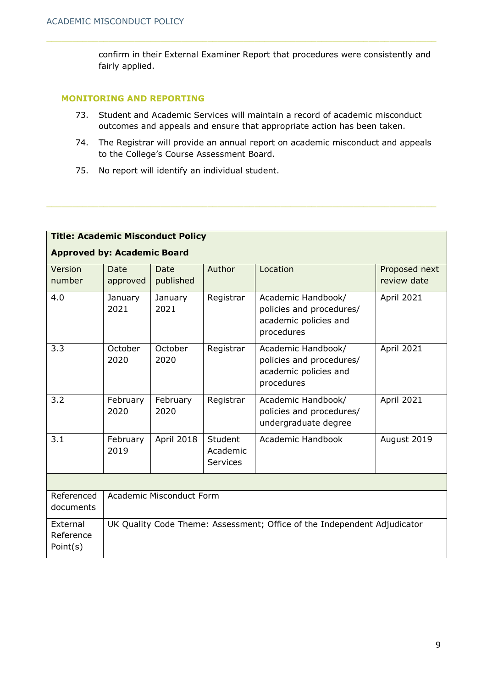confirm in their External Examiner Report that procedures were consistently and fairly applied.

#### **MONITORING AND REPORTING**

- 73. Student and Academic Services will maintain a record of academic misconduct outcomes and appeals and ensure that appropriate action has been taken.
- 74. The Registrar will provide an annual report on academic misconduct and appeals to the College's Course Assessment Board.
- 75. No report will identify an individual student.

| <b>Title: Academic Misconduct Policy</b> |                          |                          |                                        |                                                                                       |                              |
|------------------------------------------|--------------------------|--------------------------|----------------------------------------|---------------------------------------------------------------------------------------|------------------------------|
| <b>Approved by: Academic Board</b>       |                          |                          |                                        |                                                                                       |                              |
| Version<br>number                        | <b>Date</b><br>approved  | <b>Date</b><br>published | Author                                 | Location                                                                              | Proposed next<br>review date |
| 4.0                                      | January<br>2021          | January<br>2021          | Registrar                              | Academic Handbook/<br>policies and procedures/<br>academic policies and<br>procedures | April 2021                   |
| 3.3                                      | October<br>2020          | October<br>2020          | Registrar                              | Academic Handbook/<br>policies and procedures/<br>academic policies and<br>procedures | April 2021                   |
| 3.2                                      | February<br>2020         | February<br>2020         | Registrar                              | Academic Handbook/<br>policies and procedures/<br>undergraduate degree                | <b>April 2021</b>            |
| 3.1                                      | February<br>2019         | April 2018               | Student<br>Academic<br><b>Services</b> | Academic Handbook                                                                     | August 2019                  |
|                                          |                          |                          |                                        |                                                                                       |                              |
| Referenced<br>documents                  | Academic Misconduct Form |                          |                                        |                                                                                       |                              |
| External<br>Reference<br>Point(s)        |                          |                          |                                        | UK Quality Code Theme: Assessment; Office of the Independent Adjudicator              |                              |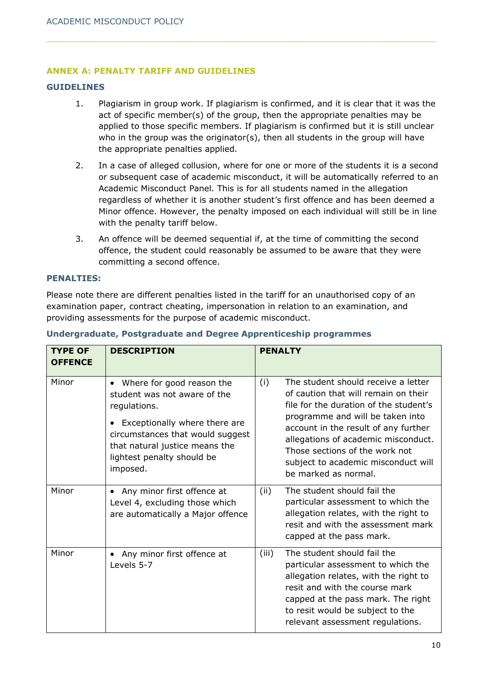# <span id="page-9-0"></span>**ANNEX A: PENALTY TARIFF AND GUIDELINES**

### **GUIDELINES**

- 1. Plagiarism in group work. If plagiarism is confirmed, and it is clear that it was the act of specific member(s) of the group, then the appropriate penalties may be applied to those specific members. If plagiarism is confirmed but it is still unclear who in the group was the originator(s), then all students in the group will have the appropriate penalties applied.
- 2. In a case of alleged collusion, where for one or more of the students it is a second or subsequent case of academic misconduct, it will be automatically referred to an Academic Misconduct Panel. This is for all students named in the allegation regardless of whether it is another student's first offence and has been deemed a Minor offence. However, the penalty imposed on each individual will still be in line with the penalty tariff below.
- 3. An offence will be deemed sequential if, at the time of committing the second offence, the student could reasonably be assumed to be aware that they were committing a second offence.

#### **PENALTIES:**

Please note there are different penalties listed in the tariff for an unauthorised copy of an examination paper, contract cheating, impersonation in relation to an examination, and providing assessments for the purpose of academic misconduct.

| <b>TYPE OF</b><br><b>OFFENCE</b> | <b>DESCRIPTION</b>                                                                                                                                                                                                                      | <b>PENALTY</b>                                                                                                                                                                                                                                                                                                                                   |
|----------------------------------|-----------------------------------------------------------------------------------------------------------------------------------------------------------------------------------------------------------------------------------------|--------------------------------------------------------------------------------------------------------------------------------------------------------------------------------------------------------------------------------------------------------------------------------------------------------------------------------------------------|
| Minor                            | Where for good reason the<br>$\bullet$<br>student was not aware of the<br>regulations.<br>Exceptionally where there are<br>circumstances that would suggest<br>that natural justice means the<br>lightest penalty should be<br>imposed. | The student should receive a letter<br>(i)<br>of caution that will remain on their<br>file for the duration of the student's<br>programme and will be taken into<br>account in the result of any further<br>allegations of academic misconduct.<br>Those sections of the work not<br>subject to academic misconduct will<br>be marked as normal. |
| Minor                            | Any minor first offence at<br>$\bullet$<br>Level 4, excluding those which<br>are automatically a Major offence                                                                                                                          | The student should fail the<br>(ii)<br>particular assessment to which the<br>allegation relates, with the right to<br>resit and with the assessment mark<br>capped at the pass mark.                                                                                                                                                             |
| Minor                            | Any minor first offence at<br>$\bullet$<br>Levels 5-7                                                                                                                                                                                   | The student should fail the<br>(iii)<br>particular assessment to which the<br>allegation relates, with the right to<br>resit and with the course mark<br>capped at the pass mark. The right<br>to resit would be subject to the<br>relevant assessment regulations.                                                                              |

#### **Undergraduate, Postgraduate and Degree Apprenticeship programmes**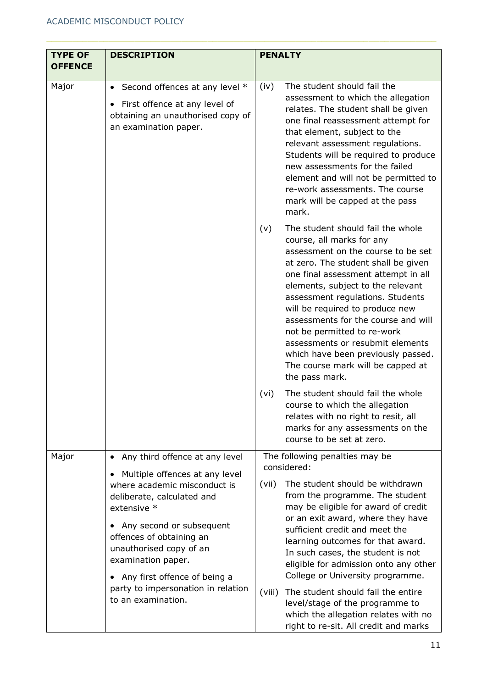| <b>TYPE OF</b> | <b>DESCRIPTION</b>                                                                                                                                                                                                                                                                                                                              | <b>PENALTY</b>                                                                                                                                                                                                                                                                                                                                                                                                                                                                                               |  |  |
|----------------|-------------------------------------------------------------------------------------------------------------------------------------------------------------------------------------------------------------------------------------------------------------------------------------------------------------------------------------------------|--------------------------------------------------------------------------------------------------------------------------------------------------------------------------------------------------------------------------------------------------------------------------------------------------------------------------------------------------------------------------------------------------------------------------------------------------------------------------------------------------------------|--|--|
| <b>OFFENCE</b> |                                                                                                                                                                                                                                                                                                                                                 |                                                                                                                                                                                                                                                                                                                                                                                                                                                                                                              |  |  |
| Major          | • Second offences at any level *<br>First offence at any level of<br>٠<br>obtaining an unauthorised copy of<br>an examination paper.                                                                                                                                                                                                            | The student should fail the<br>(iv)<br>assessment to which the allegation<br>relates. The student shall be given<br>one final reassessment attempt for<br>that element, subject to the<br>relevant assessment regulations.<br>Students will be required to produce<br>new assessments for the failed<br>element and will not be permitted to<br>re-work assessments. The course<br>mark will be capped at the pass<br>mark.                                                                                  |  |  |
|                |                                                                                                                                                                                                                                                                                                                                                 | The student should fail the whole<br>(v)<br>course, all marks for any<br>assessment on the course to be set<br>at zero. The student shall be given<br>one final assessment attempt in all<br>elements, subject to the relevant<br>assessment regulations. Students<br>will be required to produce new<br>assessments for the course and will<br>not be permitted to re-work<br>assessments or resubmit elements<br>which have been previously passed.<br>The course mark will be capped at<br>the pass mark. |  |  |
|                |                                                                                                                                                                                                                                                                                                                                                 | The student should fail the whole<br>(vi)<br>course to which the allegation<br>relates with no right to resit, all<br>marks for any assessments on the<br>course to be set at zero.                                                                                                                                                                                                                                                                                                                          |  |  |
| Major          | Any third offence at any level<br>$\bullet$                                                                                                                                                                                                                                                                                                     | The following penalties may be                                                                                                                                                                                                                                                                                                                                                                                                                                                                               |  |  |
|                | Multiple offences at any level<br>$\bullet$<br>where academic misconduct is<br>deliberate, calculated and<br>extensive *<br>Any second or subsequent<br>٠<br>offences of obtaining an<br>unauthorised copy of an<br>examination paper.<br>Any first offence of being a<br>$\bullet$<br>party to impersonation in relation<br>to an examination. | considered:<br>The student should be withdrawn<br>(vii)<br>from the programme. The student<br>may be eligible for award of credit<br>or an exit award, where they have<br>sufficient credit and meet the<br>learning outcomes for that award.<br>In such cases, the student is not<br>eligible for admission onto any other<br>College or University programme.                                                                                                                                              |  |  |
|                |                                                                                                                                                                                                                                                                                                                                                 | The student should fail the entire<br>(viii)<br>level/stage of the programme to<br>which the allegation relates with no<br>right to re-sit. All credit and marks                                                                                                                                                                                                                                                                                                                                             |  |  |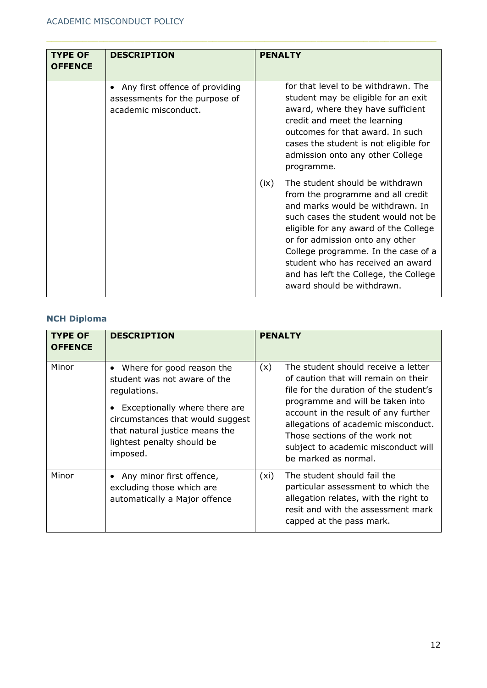| <b>TYPE OF</b><br><b>OFFENCE</b> | <b>DESCRIPTION</b>                                                                       | <b>PENALTY</b>                                                                                                                                                                                                                                                                                                                                                                         |
|----------------------------------|------------------------------------------------------------------------------------------|----------------------------------------------------------------------------------------------------------------------------------------------------------------------------------------------------------------------------------------------------------------------------------------------------------------------------------------------------------------------------------------|
|                                  | Any first offence of providing<br>assessments for the purpose of<br>academic misconduct. | for that level to be withdrawn. The<br>student may be eligible for an exit<br>award, where they have sufficient<br>credit and meet the learning<br>outcomes for that award. In such<br>cases the student is not eligible for<br>admission onto any other College<br>programme.                                                                                                         |
|                                  |                                                                                          | The student should be withdrawn<br>(ix)<br>from the programme and all credit<br>and marks would be withdrawn. In<br>such cases the student would not be<br>eligible for any award of the College<br>or for admission onto any other<br>College programme. In the case of a<br>student who has received an award<br>and has left the College, the College<br>award should be withdrawn. |

# **NCH Diploma**

| <b>TYPE OF</b><br><b>OFFENCE</b> | <b>DESCRIPTION</b>                                                                                                                                                                                                                      | <b>PENALTY</b>                                                                                                                                                                                                                                                                                                                                   |
|----------------------------------|-----------------------------------------------------------------------------------------------------------------------------------------------------------------------------------------------------------------------------------------|--------------------------------------------------------------------------------------------------------------------------------------------------------------------------------------------------------------------------------------------------------------------------------------------------------------------------------------------------|
| Minor                            | Where for good reason the<br>$\bullet$<br>student was not aware of the<br>regulations.<br>Exceptionally where there are<br>circumstances that would suggest<br>that natural justice means the<br>lightest penalty should be<br>imposed. | The student should receive a letter<br>(x)<br>of caution that will remain on their<br>file for the duration of the student's<br>programme and will be taken into<br>account in the result of any further<br>allegations of academic misconduct.<br>Those sections of the work not<br>subject to academic misconduct will<br>be marked as normal. |
| Minor                            | Any minor first offence,<br>excluding those which are<br>automatically a Major offence                                                                                                                                                  | The student should fail the<br>(xi)<br>particular assessment to which the<br>allegation relates, with the right to<br>resit and with the assessment mark<br>capped at the pass mark.                                                                                                                                                             |